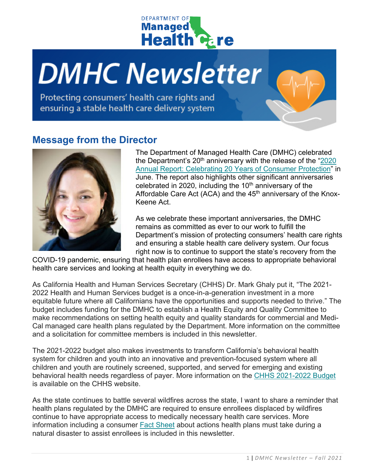

# **DMHC Newsletter**

Protecting consumers' health care rights and ensuring a stable health care delivery system

### **Message from the Director**



The Department of Managed Health Care (DMHC) celebrated the Department's  $20<sup>th</sup>$  anniversary with the release of the "2020" [Annual Report: Celebrating 20 Years of Consumer Protection"](https://www.dmhc.ca.gov/Portals/0/Docs/DO/2020ARAccessible.pdf) in June. The report also highlights other significant anniversaries celebrated in 2020, including the  $10<sup>th</sup>$  anniversary of the Affordable Care Act (ACA) and the  $45<sup>th</sup>$  anniversary of the Knox-Keene Act.

As we celebrate these important anniversaries, the DMHC remains as committed as ever to our work to fulfill the Department's mission of protecting consumers' health care rights and ensuring a stable health care delivery system. Our focus right now is to continue to support the state's recovery from the

COVID-19 pandemic, ensuring that health plan enrollees have access to appropriate behavioral health care services and looking at health equity in everything we do.

As California Health and Human Services Secretary (CHHS) Dr. Mark Ghaly put it, "The 2021- 2022 Health and Human Services budget is a once-in-a-generation investment in a more equitable future where all Californians have the opportunities and supports needed to thrive." The budget includes funding for the DMHC to establish a Health Equity and Quality Committee to make recommendations on setting health equity and quality standards for commercial and Medi-Cal managed care health plans regulated by the Department. More information on the committee and a solicitation for committee members is included in this newsletter.

The 2021-2022 budget also makes investments to transform California's behavioral health system for children and youth into an innovative and prevention-focused system where all children and youth are routinely screened, supported, and served for emerging and existing behavioral health needs regardless of payer. More information on the [CHHS 2021-2022 Budget](https://www.chhs.ca.gov/wp-content/uploads/2021/07/CHHS-2021-2022-Budget-Overview.pdf) is available on the CHHS website.

As the state continues to battle several wildfires across the state, I want to share a reminder that health plans regulated by the DMHC are required to ensure enrollees displaced by wildfires continue to have appropriate access to medically necessary health care services. More information including a consumer [Fact Sheet](https://dmhc.ca.gov/Portals/0/Docs/DO/NaturalDisasterFlyer-A.pdf) about actions health plans must take during a natural disaster to assist enrollees is included in this newsletter.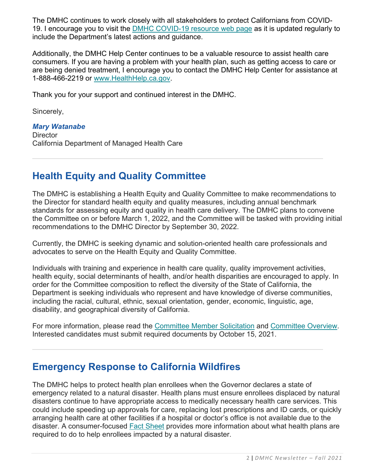The DMHC continues to work closely with all stakeholders to protect Californians from COVID-19. I encourage you to visit the [DMHC COVID-19 resource web page](http://www.dmhc.ca.gov/COVID-19.aspx) as it is updated regularly to include the Department's latest actions and guidance.

Additionally, the DMHC Help Center continues to be a valuable resource to assist health care consumers. If you are having a problem with your health plan, such as getting access to care or are being denied treatment, I encourage you to contact the DMHC Help Center for assistance at 1-888-466-2219 or [www.HealthHelp.ca.gov.](http://www.healthhelp.ca.gov/)

Thank you for your support and continued interest in the DMHC.

Sincerely,

*Mary Watanabe* **Director** California Department of Managed Health Care

# **Health Equity and Quality Committee**

The DMHC is establishing a Health Equity and Quality Committee to make recommendations to the Director for standard health equity and quality measures, including annual benchmark standards for assessing equity and quality in health care delivery. The DMHC plans to convene the Committee on or before March 1, 2022, and the Committee will be tasked with providing initial recommendations to the DMHC Director by September 30, 2022.

Currently, the DMHC is seeking dynamic and solution-oriented health care professionals and advocates to serve on the Health Equity and Quality Committee.

Individuals with training and experience in health care quality, quality improvement activities, health equity, social determinants of health, and/or health disparities are encouraged to apply. In order for the Committee composition to reflect the diversity of the State of California, the Department is seeking individuals who represent and have knowledge of diverse communities, including the racial, cultural, ethnic, sexual orientation, gender, economic, linguistic, age, disability, and geographical diversity of California.

For more information, please read the [Committee Member Solicitation](https://dmhc.ca.gov/Portals/0/Docs/DO/HealthEquitySolicitation.pdf) and [Committee Overview.](https://dmhc.ca.gov/Portals/0/Docs/DO/DraftHealthEquityOverview.pdf) Interested candidates must submit required documents by October 15, 2021.

### **Emergency Response to California Wildfires**

The DMHC helps to protect health plan enrollees when the Governor declares a state of emergency related to a natural disaster. Health plans must ensure enrollees displaced by natural disasters continue to have appropriate access to medically necessary health care services. This could include speeding up approvals for care, replacing lost prescriptions and ID cards, or quickly arranging health care at other facilities if a hospital or doctor's office is not available due to the disaster. A consumer-focused [Fact Sheet](https://dmhc.ca.gov/Portals/0/Docs/DO/NaturalDisasterFlyer-A.pdf) provides more information about what health plans are required to do to help enrollees impacted by a natural disaster.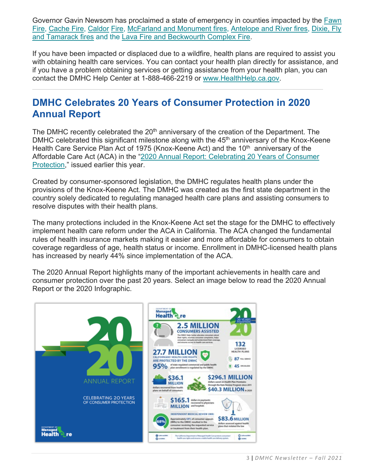Governor Gavin Newsom has proclaimed a state of emergency in counties impacted by the [Fawn](https://www.gov.ca.gov/2021/09/27/governor-newsom-proclaims-state-of-emergency-in-shasta-county-due-to-fawn-fire/)  [Fire,](https://www.gov.ca.gov/2021/09/27/governor-newsom-proclaims-state-of-emergency-in-shasta-county-due-to-fawn-fire/) [Cache Fire,](https://gcc02.safelinks.protection.outlook.com/?url=http%3A%2F%2Fcert1.mail-west.com%2FyqU%2Fanmc7rmdH%2FdHgtmyuzj%2Fmbw1zqa81%2Fjjbg%2Fq4%2F21dHmcq&data=04%7C01%7CRachel.Arrezola%40DMHC.CA.GOV%7C761fe5f29b6c461fcd8008d97f07c179%7Cb914b00c2991499ab3b08e4b1f080205%7C1%7C0%7C637680495042803305%7CUnknown%7CTWFpbGZsb3d8eyJWIjoiMC4wLjAwMDAiLCJQIjoiV2luMzIiLCJBTiI6Ik1haWwiLCJXVCI6Mn0%3D%7C3000&sdata=MN7XbDwHP23SvlDQcKjw6HhoeEJKdsriCo%2FbfO6wA6E%3D&reserved=0) [Caldor](https://gcc02.safelinks.protection.outlook.com/?url=http%3A%2F%2Fcert1.mail-west.com%2Fzjanmc7rmnPyaC%2FnPgtmyu%2Fmbw1zqa81%2Fjjbg%2Fq4%2F31nPygd&data=04%7C01%7CRachel.Arrezola%40DMHC.CA.GOV%7C761fe5f29b6c461fcd8008d97f07c179%7Cb914b00c2991499ab3b08e4b1f080205%7C1%7C0%7C637680495042813261%7CUnknown%7CTWFpbGZsb3d8eyJWIjoiMC4wLjAwMDAiLCJQIjoiV2luMzIiLCJBTiI6Ik1haWwiLCJXVCI6Mn0%3D%7C3000&sdata=THdtHvwxopmznS4mqzbkCHGXKByECrc5Gu1eChl6dSU%3D&reserved=0) [Fire,](https://gcc02.safelinks.protection.outlook.com/?url=http%3A%2F%2Fcert1.mail-west.com%2Fnmc7rmfTysG%2FfTgtmyuzja%2Fmbw1zqa81%2Fjjbg%2Fq4%2F41fTzul&data=04%7C01%7CRachel.Arrezola%40DMHC.CA.GOV%7C761fe5f29b6c461fcd8008d97f07c179%7Cb914b00c2991499ab3b08e4b1f080205%7C1%7C0%7C637680495042813261%7CUnknown%7CTWFpbGZsb3d8eyJWIjoiMC4wLjAwMDAiLCJQIjoiV2luMzIiLCJBTiI6Ik1haWwiLCJXVCI6Mn0%3D%7C3000&sdata=VWeUJDnnWQ6rAGTJ3f739i3dnM50z4AgQRIkDy3Q8tU%3D&reserved=0) [McFarland and Monument fires,](https://gcc02.safelinks.protection.outlook.com/?url=http%3A%2F%2Fcert1.mail-west.com%2Fnmc7rmxPykC%2Fgtmyuzja%2FxP%2Fmbw1zqa81%2Fjjbg%2Fq4%2F51xPeoy&data=04%7C01%7CRachel.Arrezola%40DMHC.CA.GOV%7C761fe5f29b6c461fcd8008d97f07c179%7Cb914b00c2991499ab3b08e4b1f080205%7C1%7C0%7C637680495042823217%7CUnknown%7CTWFpbGZsb3d8eyJWIjoiMC4wLjAwMDAiLCJQIjoiV2luMzIiLCJBTiI6Ik1haWwiLCJXVCI6Mn0%3D%7C3000&sdata=8h6lpaQvbYnqleogzIlmUpNwCNaKThQo2ydcaaFMcyI%3D&reserved=0) [Antelope and River fires,](https://gcc02.safelinks.protection.outlook.com/?url=http%3A%2F%2Fcert1.mail-west.com%2FpFycS%2Fmc7rm%2Fzjan%2FpFgtmyu%2Fmbw1zqa81%2Fjjbg%2Fq4%2F61pFeva&data=04%7C01%7CRachel.Arrezola%40DMHC.CA.GOV%7C761fe5f29b6c461fcd8008d97f07c179%7Cb914b00c2991499ab3b08e4b1f080205%7C1%7C0%7C637680495042823217%7CUnknown%7CTWFpbGZsb3d8eyJWIjoiMC4wLjAwMDAiLCJQIjoiV2luMzIiLCJBTiI6Ik1haWwiLCJXVCI6Mn0%3D%7C3000&sdata=qQF5M%2BBoqsfJl3HNBBnWhNVTIogzI%2F0KtaucJ9zuWg4%3D&reserved=0) [Dixie, Fly](https://gcc02.safelinks.protection.outlook.com/?url=http%3A%2F%2Fcert1.mail-west.com%2Fm1Zy1M%2Fmyuzjanmc7r%2FZgt%2F1%2Fmbw1zqa81%2Fjjbg%2Fq4%2F711Zodi&data=04%7C01%7CRachel.Arrezola%40DMHC.CA.GOV%7C761fe5f29b6c461fcd8008d97f07c179%7Cb914b00c2991499ab3b08e4b1f080205%7C1%7C0%7C637680495042823217%7CUnknown%7CTWFpbGZsb3d8eyJWIjoiMC4wLjAwMDAiLCJQIjoiV2luMzIiLCJBTiI6Ik1haWwiLCJXVCI6Mn0%3D%7C3000&sdata=2HjD8%2B62xsvhGoXy5m1FCRj4HUXYqqVyVGrlQCeCu7U%3D&reserved=0)  [and Tamarack fires](https://gcc02.safelinks.protection.outlook.com/?url=http%3A%2F%2Fcert1.mail-west.com%2Fm1Zy1M%2Fmyuzjanmc7r%2FZgt%2F1%2Fmbw1zqa81%2Fjjbg%2Fq4%2F711Zodi&data=04%7C01%7CRachel.Arrezola%40DMHC.CA.GOV%7C761fe5f29b6c461fcd8008d97f07c179%7Cb914b00c2991499ab3b08e4b1f080205%7C1%7C0%7C637680495042823217%7CUnknown%7CTWFpbGZsb3d8eyJWIjoiMC4wLjAwMDAiLCJQIjoiV2luMzIiLCJBTiI6Ik1haWwiLCJXVCI6Mn0%3D%7C3000&sdata=2HjD8%2B62xsvhGoXy5m1FCRj4HUXYqqVyVGrlQCeCu7U%3D&reserved=0) and the [Lava Fire and Beckwourth Complex Fire.](https://gcc02.safelinks.protection.outlook.com/?url=http%3A%2F%2Fcert1.mail-west.com%2FrmgWytJ%2Ftmyuzjanmc7%2FgWg%2Fmbw1zqa81%2Fjjbg%2Fq4%2F81gWtdz&data=04%7C01%7CRachel.Arrezola%40DMHC.CA.GOV%7C761fe5f29b6c461fcd8008d97f07c179%7Cb914b00c2991499ab3b08e4b1f080205%7C1%7C0%7C637680495042833175%7CUnknown%7CTWFpbGZsb3d8eyJWIjoiMC4wLjAwMDAiLCJQIjoiV2luMzIiLCJBTiI6Ik1haWwiLCJXVCI6Mn0%3D%7C3000&sdata=O7gYtyDDSMfYXVwzNVUBrXeH3QuILFQT93yMbxAh0aU%3D&reserved=0)

If you have been impacted or displaced due to a wildfire, health plans are required to assist you with obtaining health care services. You can contact your health plan directly for assistance, and if you have a problem obtaining services or getting assistance from your health plan, you can contact the DMHC Help Center at 1-888-466-2219 or [www.HealthHelp.ca.gov.](http://www.healthhelp.ca.gov/)

### **DMHC Celebrates 20 Years of Consumer Protection in 2020 Annual Report**

The DMHC recently celebrated the  $20<sup>th</sup>$  anniversary of the creation of the Department. The DMHC celebrated this significant milestone along with the  $45<sup>th</sup>$  anniversary of the Knox-Keene Health Care Service Plan Act of 1975 (Knox-Keene Act) and the 10<sup>th</sup> anniversary of the Affordable Care Act (ACA) in the ["2020 Annual Report: Celebrating 20 Years of Consumer](https://www.dmhc.ca.gov/Portals/0/Docs/DO/2020ARAccessible.pdf)  [Protection,](https://www.dmhc.ca.gov/Portals/0/Docs/DO/2020ARAccessible.pdf)" issued earlier this year.

Created by consumer-sponsored legislation, the DMHC regulates health plans under the provisions of the Knox-Keene Act. The DMHC was created as the first state department in the country solely dedicated to regulating managed health care plans and assisting consumers to resolve disputes with their health plans.

The many protections included in the Knox-Keene Act set the stage for the DMHC to effectively implement health care reform under the ACA in California. The ACA changed the fundamental rules of health insurance markets making it easier and more affordable for consumers to obtain coverage regardless of age, health status or income. Enrollment in DMHC-licensed health plans has increased by nearly 44% since implementation of the ACA.

The 2020 Annual Report highlights many of the important achievements in health care and consumer protection over the past 20 years. Select an image below to read the 2020 Annual Report or the 2020 Infographic.

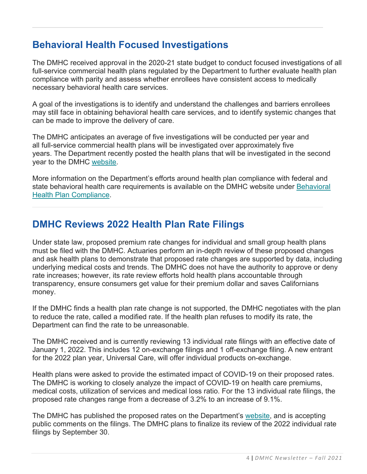# **Behavioral Health Focused Investigations**

The DMHC received approval in the 2020-21 state budget to conduct focused investigations of all full-service commercial health plans regulated by the Department to further evaluate health plan compliance with parity and assess whether enrollees have consistent access to medically necessary behavioral health care services.

A goal of the investigations is to identify and understand the challenges and barriers enrollees may still face in obtaining behavioral health care services, and to identify systemic changes that can be made to improve the delivery of care.

The DMHC anticipates an average of five investigations will be conducted per year and all full-service commercial health plans will be investigated over approximately five years. The Department recently posted the health plans that will be investigated in the second year to the DMHC [website.](https://www.dmhc.ca.gov/Portals/0/Docs/OPM/Health%20Plan%20Changes_2021-08-26.pdf?ver=2021-08-26-114646-293)

More information on the Department's efforts around health plan compliance with federal and state behavioral health care requirements is available on the DMHC website under [Behavioral](https://www.dmhc.ca.gov/LicensingReporting/HealthPlanComplianceMedicalSurvey/BehavioralHealthCareCompliance.aspx)  [Health Plan Compliance.](https://www.dmhc.ca.gov/LicensingReporting/HealthPlanComplianceMedicalSurvey/BehavioralHealthCareCompliance.aspx)

# **DMHC Reviews 2022 Health Plan Rate Filings**

Under state law, proposed premium rate changes for individual and small group health plans must be filed with the DMHC. Actuaries perform an in-depth review of these proposed changes and ask health plans to demonstrate that proposed rate changes are supported by data, including underlying medical costs and trends. The DMHC does not have the authority to approve or deny rate increases; however, its rate review efforts hold health plans accountable through transparency, ensure consumers get value for their premium dollar and saves Californians money.

If the DMHC finds a health plan rate change is not supported, the DMHC negotiates with the plan to reduce the rate, called a modified rate. If the health plan refuses to modify its rate, the Department can find the rate to be unreasonable.

The DMHC received and is currently reviewing 13 individual rate filings with an effective date of January 1, 2022. This includes 12 on-exchange filings and 1 off-exchange filing. A new entrant for the 2022 plan year, Universal Care, will offer individual products on-exchange.

Health plans were asked to provide the estimated impact of COVID-19 on their proposed rates. The DMHC is working to closely analyze the impact of COVID-19 on health care premiums, medical costs, utilization of services and medical loss ratio. For the 13 individual rate filings, the proposed rate changes range from a decrease of 3.2% to an increase of 9.1%.

The DMHC has published the proposed rates on the Department's [website,](https://wpso.dmhc.ca.gov/premiumratereview/) and is accepting public comments on the filings. The DMHC plans to finalize its review of the 2022 individual rate filings by September 30.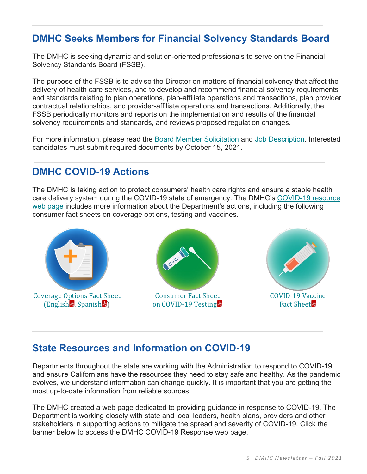# **DMHC Seeks Members for Financial Solvency Standards Board**

The DMHC is seeking dynamic and solution-oriented professionals to serve on the Financial Solvency Standards Board (FSSB).

The purpose of the FSSB is to advise the Director on matters of financial solvency that affect the delivery of health care services, and to develop and recommend financial solvency requirements and standards relating to plan operations, plan-affiliate operations and transactions, plan provider contractual relationships, and provider-affiliate operations and transactions. Additionally, the FSSB periodically monitors and reports on the implementation and results of the financial solvency requirements and standards, and reviews proposed regulation changes.

For more information, please read the [Board Member Solicitation](https://www.dmhc.ca.gov/Portals/0/Docs/DO/MemberSolicitation.pdf?ver=2021-09-09-132545-833) and [Job Description.](https://www.dmhc.ca.gov/LinkClick.aspx?fileticket=gR0kpTp2gSk%3d&portalid=0) Interested candidates must submit required documents by October 15, 2021.

### **DMHC COVID-19 Actions**

The DMHC is taking action to protect consumers' health care rights and ensure a stable health care delivery system during the COVID-19 state of emergency. The DMHC's [COVID-19 resource](http://www.dmhc.ca.gov/COVID-19.aspx)  [web page](http://www.dmhc.ca.gov/COVID-19.aspx) includes more information about the Department's actions, including the following consumer fact sheets on coverage options, testing and vaccines.



### **State Resources and Information on COVID-19**

Departments throughout the state are working with the Administration to respond to COVID-19 and ensure Californians have the resources they need to stay safe and healthy. As the pandemic evolves, we understand information can change quickly. It is important that you are getting the most up-to-date information from reliable sources.

The DMHC created a web page dedicated to providing guidance in response to COVID-19. The Department is working closely with state and local leaders, health plans, providers and other stakeholders in supporting actions to mitigate the spread and severity of COVID-19. Click the banner below to access the DMHC COVID-19 Response web page.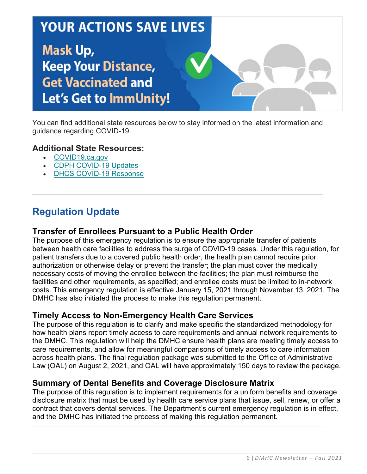# **YOUR ACTIONS SAVE LIVES Mask Up, Keep Your Distance, Get Vaccinated and** Let's Get to ImmUnity!

You can find additional state resources below to stay informed on the latest information and guidance regarding COVID-19.

### **Additional State Resources:**

- [COVID19.ca.gov](https://covid19.ca.gov/)
- [CDPH COVID-19 Updates](https://www.cdph.ca.gov/Programs/CID/DCDC/Pages/Immunization/ncov2019.aspx)
- **[DHCS COVID-19 Response](https://www.dhcs.ca.gov/Pages/DHCS-COVID%E2%80%9119-Response.aspx)**

# **Regulation Update**

### **Transfer of Enrollees Pursuant to a Public Health Order**

The purpose of this emergency regulation is to ensure the appropriate transfer of patients between health care facilities to address the surge of COVID-19 cases. Under this regulation, for patient transfers due to a covered public health order, the health plan cannot require prior authorization or otherwise delay or prevent the transfer; the plan must cover the medically necessary costs of moving the enrollee between the facilities; the plan must reimburse the facilities and other requirements, as specified; and enrollee costs must be limited to in-network costs. This emergency regulation is effective January 15, 2021 through November 13, 2021. The DMHC has also initiated the process to make this regulation permanent.

### **Timely Access to Non-Emergency Health Care Services**

The purpose of this regulation is to clarify and make specific the standardized methodology for how health plans report timely access to care requirements and annual network requirements to the DMHC. This regulation will help the DMHC ensure health plans are meeting timely access to care requirements, and allow for meaningful comparisons of timely access to care information across health plans. The final regulation package was submitted to the Office of Administrative Law (OAL) on August 2, 2021, and OAL will have approximately 150 days to review the package.

### **Summary of Dental Benefits and Coverage Disclosure Matrix**

The purpose of this regulation is to implement requirements for a uniform benefits and coverage disclosure matrix that must be used by health care service plans that issue, sell, renew, or offer a contract that covers dental services. The Department's current emergency regulation is in effect, and the DMHC has initiated the process of making this regulation permanent.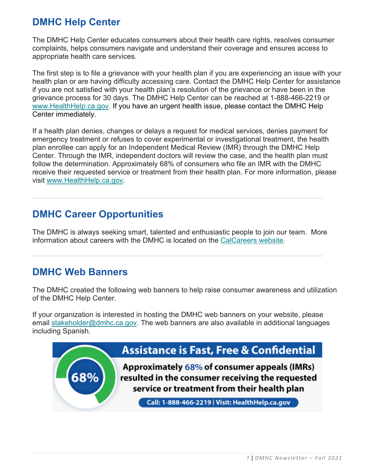# **DMHC Help Center**

The DMHC Help Center educates consumers about their health care rights, resolves consumer complaints, helps consumers navigate and understand their coverage and ensures access to appropriate health care services.

The first step is to file a grievance with your health plan if you are experiencing an issue with your health plan or are having difficulty accessing care. Contact the DMHC Help Center for assistance if you are not satisfied with your health plan's resolution of the grievance or have been in the grievance process for 30 days. The DMHC Help Center can be reached at 1-888-466-2219 or [www.HealthHelp.ca.gov.](http://www.healthhelp.ca.gov/) If you have an urgent health issue, please contact the DMHC Help Center immediately.

If a health plan denies, changes or delays a request for medical services, denies payment for emergency treatment or refuses to cover experimental or investigational treatment, the health plan enrollee can apply for an Independent Medical Review (IMR) through the DMHC Help Center. Through the IMR, independent doctors will review the case, and the health plan must follow the determination. Approximately 68% of consumers who file an IMR with the DMHC receive their requested service or treatment from their health plan. For more information, please visit [www.HealthHelp.ca.gov.](http://www.healthhelp.ca.gov/)

### **DMHC Career Opportunities**

The DMHC is always seeking smart, talented and enthusiastic people to join our team. More information about careers with the DMHC is located on the [CalCareers website.](https://jobs.ca.gov/CalHRPublic/Search/JobSearchResults.aspx#depid=261)

### **DMHC Web Banners**

The DMHC created the following web banners to help raise consumer awareness and utilization of the DMHC Help Center.

If your organization is interested in hosting the DMHC web banners on your website, please email [stakeholder@dmhc.ca.gov.](mailto:stakeholder@dmhc.ca.gov) The web banners are also available in additional languages including Spanish.